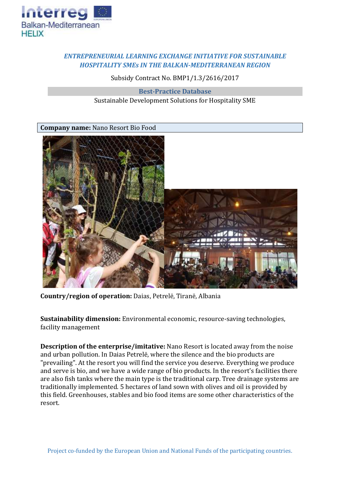

## *ENTREPRENEURIAL LEARNING EXCHANGE INITIATIVE FOR SUSTAINABLE HOSPITALITY SMEs IN THE BALKAN-MEDITERRANEAN REGION*

Subsidy Contract No. BMP1/1.3/2616/2017

**Best-Practice Database** Sustainable Development Solutions for Hospitality SME

**Company name:** Nano Resort Bio Food



**Country/region of operation:** Daias, Petrelë, Tiranë, Albania

**Sustainability dimension:** Environmental economic, resource-saving technologies, facility management

**Description of the enterprise/imitative:** Nano Resort is located away from the noise and urban pollution. In Daias Petrelë, where the silence and the bio products are "prevailing". At the resort you will find the service you deserve. Everything we produce and serve is bio, and we have a wide range of bio products. In the resort's facilities there are also fish tanks where the main type is the traditional carp. Tree drainage systems are traditionally implemented. 5 hectares of land sown with olives and oil is provided by this field. Greenhouses, stables and bio food items are some other characteristics of the resort.